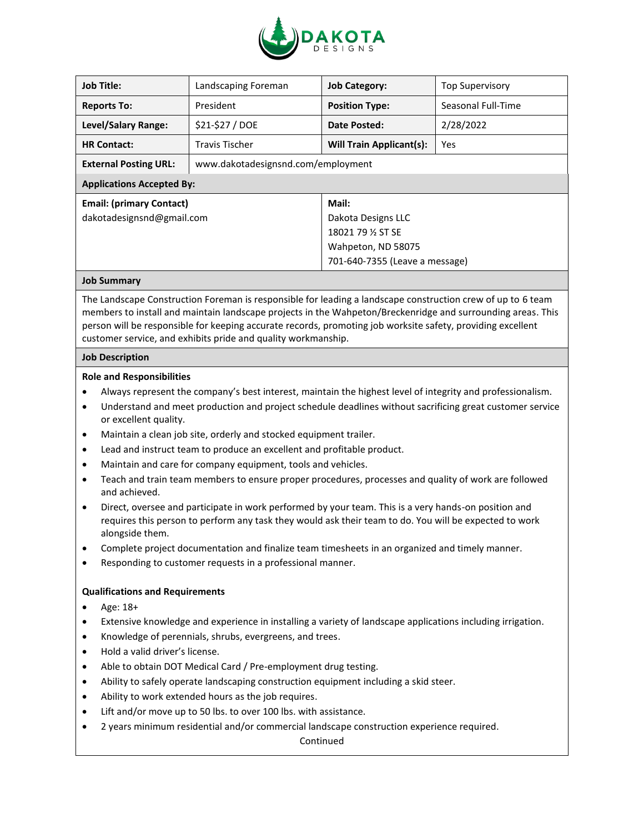

| <b>Job Title:</b>                | Landscaping Foreman                | <b>Job Category:</b>            | <b>Top Supervisory</b> |
|----------------------------------|------------------------------------|---------------------------------|------------------------|
| <b>Reports To:</b>               | President                          | <b>Position Type:</b>           | Seasonal Full-Time     |
| Level/Salary Range:              | \$21-\$27 / DOE                    | Date Posted:                    | 2/28/2022              |
| <b>HR Contact:</b>               | <b>Travis Tischer</b>              | <b>Will Train Applicant(s):</b> | Yes                    |
| <b>External Posting URL:</b>     | www.dakotadesignsnd.com/employment |                                 |                        |
| <b>Applications Accepted By:</b> |                                    |                                 |                        |
| <b>Email: (primary Contact)</b>  |                                    | Mail:                           |                        |
| dakotadesignsnd@gmail.com        |                                    | Dakota Designs LLC              |                        |
|                                  |                                    | 18021 79 % ST SE                |                        |
|                                  |                                    | Wahpeton, ND 58075              |                        |
|                                  |                                    | 701-640-7355 (Leave a message)  |                        |
|                                  |                                    |                                 |                        |

## **Job Summary**

The Landscape Construction Foreman is responsible for leading a landscape construction crew of up to 6 team members to install and maintain landscape projects in the Wahpeton/Breckenridge and surrounding areas. This person will be responsible for keeping accurate records, promoting job worksite safety, providing excellent customer service, and exhibits pride and quality workmanship.

## **Job Description**

## **Role and Responsibilities**

- Always represent the company's best interest, maintain the highest level of integrity and professionalism.
- Understand and meet production and project schedule deadlines without sacrificing great customer service or excellent quality.
- Maintain a clean job site, orderly and stocked equipment trailer.
- Lead and instruct team to produce an excellent and profitable product.
- Maintain and care for company equipment, tools and vehicles.
- Teach and train team members to ensure proper procedures, processes and quality of work are followed and achieved.
- Direct, oversee and participate in work performed by your team. This is a very hands-on position and requires this person to perform any task they would ask their team to do. You will be expected to work alongside them.
- Complete project documentation and finalize team timesheets in an organized and timely manner.
- Responding to customer requests in a professional manner.

## **Qualifications and Requirements**

- Age: 18+
- Extensive knowledge and experience in installing a variety of landscape applications including irrigation.
- Knowledge of perennials, shrubs, evergreens, and trees.
- Hold a valid driver's license.
- Able to obtain DOT Medical Card / Pre-employment drug testing.
- Ability to safely operate landscaping construction equipment including a skid steer.
- Ability to work extended hours as the job requires.
- Lift and/or move up to 50 lbs. to over 100 lbs. with assistance.
- 2 years minimum residential and/or commercial landscape construction experience required.

Continued